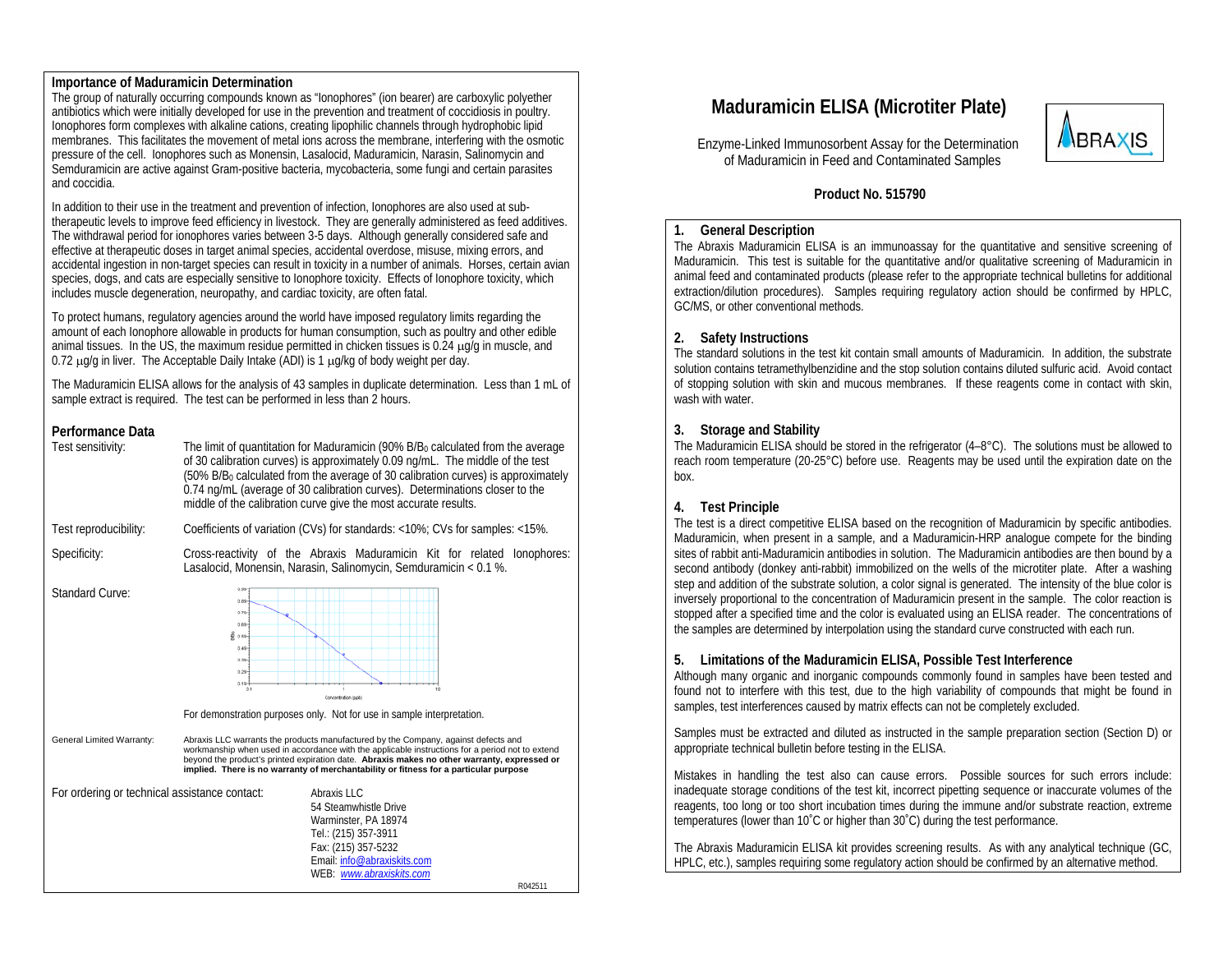### **Importance of Maduramicin Determination**

The group of naturally occurring compounds known as "Ionophores" (ion bearer) are carboxylic polyether antibiotics which were initially developed for use in the prevention and treatment of coccidiosis in poultry. Ionophores form complexes with alkaline cations, creating lipophilic channels through hydrophobic lipid membranes. This facilitates the movement of metal ions across the membrane, interfering with the osmotic pressure of the cell. Ionophores such as Monensin, Lasalocid, Maduramicin, Narasin, Salinomycin and Semduramicin are active against Gram-positive bacteria, mycobacteria, some fungi and certain parasites and coccidia.

In addition to their use in the treatment and prevention of infection, Ionophores are also used at subtherapeutic levels to improve feed efficiency in livestock. They are generally administered as feed additives. The withdrawal period for ionophores varies between 3-5 days. Although generally considered safe and effective at therapeutic doses in target animal species, accidental overdose, misuse, mixing errors, and accidental ingestion in non-target species can result in toxicity in a number of animals. Horses, certain avian species, dogs, and cats are especially sensitive to Ionophore toxicity. Effects of Ionophore toxicity, which includes muscle degeneration, neuropathy, and cardiac toxicity, are often fatal.

To protect humans, regulatory agencies around the world have imposed regulatory limits regarding the amount of each Ionophore allowable in products for human consumption, such as poultry and other edible animal tissues. In the US, the maximum residue permitted in chicken tissues is  $0.24 \mu q/q$  in muscle, and 0.72  $\mu$ g/g in liver. The Acceptable Daily Intake (ADI) is 1  $\mu$ g/kg of body weight per day.

The Maduramicin ELISA allows for the analysis of 43 samples in duplicate determination. Less than 1 mL of sample extract is required. The test can be performed in less than 2 hours.

### **Performance Data**

| Test sensitivity: | The limit of quantitation for Maduramicin (90% $B/B0$ calculated from the average    |
|-------------------|--------------------------------------------------------------------------------------|
|                   | of 30 calibration curves) is approximately 0.09 ng/mL. The middle of the test        |
|                   | $(50\% B/B0)$ calculated from the average of 30 calibration curves) is approximately |
|                   | 0.74 ng/mL (average of 30 calibration curves). Determinations closer to the          |
|                   | middle of the calibration curve give the most accurate results.                      |

| Test reproducibility: | Coefficients of variation (CVs) for standards: <10%; CVs for samples: <15%. |
|-----------------------|-----------------------------------------------------------------------------|
|-----------------------|-----------------------------------------------------------------------------|

Specificity: Cross-reactivity of the Abraxis Maduramicin Kit for related Ionophores: Lasalocid, Monensin, Narasin, Salinomycin, Semduramicin < 0.1 %.



Concentration (pp) For demonstration purposes only. Not for use in sample interpretation.

| General Limited Warranty:                     | Abraxis LLC warrants the products manufactured by the Company, against defects and<br>workmanship when used in accordance with the applicable instructions for a period not to extend<br>beyond the product's printed expiration date. Abraxis makes no other warranty, expressed or<br>implied. There is no warranty of merchantability or fitness for a particular purpose |                                                                                                                                                                        |  |
|-----------------------------------------------|------------------------------------------------------------------------------------------------------------------------------------------------------------------------------------------------------------------------------------------------------------------------------------------------------------------------------------------------------------------------------|------------------------------------------------------------------------------------------------------------------------------------------------------------------------|--|
| For ordering or technical assistance contact: |                                                                                                                                                                                                                                                                                                                                                                              | Abraxis LLC<br>54 Steamwhistle Drive<br>Warminster, PA 18974<br>Tel.: (215) 357-3911<br>Fax: (215) 357-5232<br>Email: info@abraxiskits.com<br>WFB: www.abraxiskits.com |  |

R042511

# **Maduramicin ELISA (Microtiter Plate)**

 Enzyme-Linked Immunosorbent Assay for the Determination of Maduramicin in Feed and Contaminated Samples



### **Product No. 515790**

#### **1.General Description**

The Abraxis Maduramicin ELISA is an immunoassay for the quantitative and sensitive screening of Maduramicin. This test is suitable for the quantitative and/or qualitative screening of Maduramicin in animal feed and contaminated products (please refer to the appropriate technical bulletins for additional extraction/dilution procedures). Samples requiring regulatory action should be confirmed by HPLC, GC/MS, or other conventional methods.

### **2. Safety Instructions**

The standard solutions in the test kit contain small amounts of Maduramicin. In addition, the substrate solution contains tetramethylbenzidine and the stop solution contains diluted sulfuric acid. Avoid contact of stopping solution with skin and mucous membranes. If these reagents come in contact with skin, wash with water.

### **3. Storage and Stability**

The Maduramicin ELISA should be stored in the refrigerator (4–8°C). The solutions must be allowed to reach room temperature (20-25°C) before use. Reagents may be used until the expiration date on the box.

### **4. Test Principle**

The test is a direct competitive ELISA based on the recognition of Maduramicin by specific antibodies. Maduramicin, when present in a sample, and a Maduramicin-HRP analogue compete for the binding sites of rabbit anti-Maduramicin antibodies in solution. The Maduramicin antibodies are then bound by a second antibody (donkey anti-rabbit) immobilized on the wells of the microtiter plate. After a washing step and addition of the substrate solution, a color signal is generated. The intensity of the blue color is inversely proportional to the concentration of Maduramicin present in the sample. The color reaction is stopped after a specified time and the color is evaluated using an ELISA reader. The concentrations of the samples are determined by interpolation using the standard curve constructed with each run.

### **5. Limitations of the Maduramicin ELISA, Possible Test Interference**

Although many organic and inorganic compounds commonly found in samples have been tested and found not to interfere with this test, due to the high variability of compounds that might be found in samples, test interferences caused by matrix effects can not be completely excluded.

Samples must be extracted and diluted as instructed in the sample preparation section (Section D) or appropriate technical bulletin before testing in the ELISA.

Mistakes in handling the test also can cause errors. Possible sources for such errors include: inadequate storage conditions of the test kit, incorrect pipetting sequence or inaccurate volumes of the reagents, too long or too short incubation times during the immune and/or substrate reaction, extreme temperatures (lower than 10˚C or higher than 30˚C) during the test performance.

The Abraxis Maduramicin ELISA kit provides screening results. As with any analytical technique (GC, HPLC, etc.), samples requiring some regulatory action should be confirmed by an alternative method.